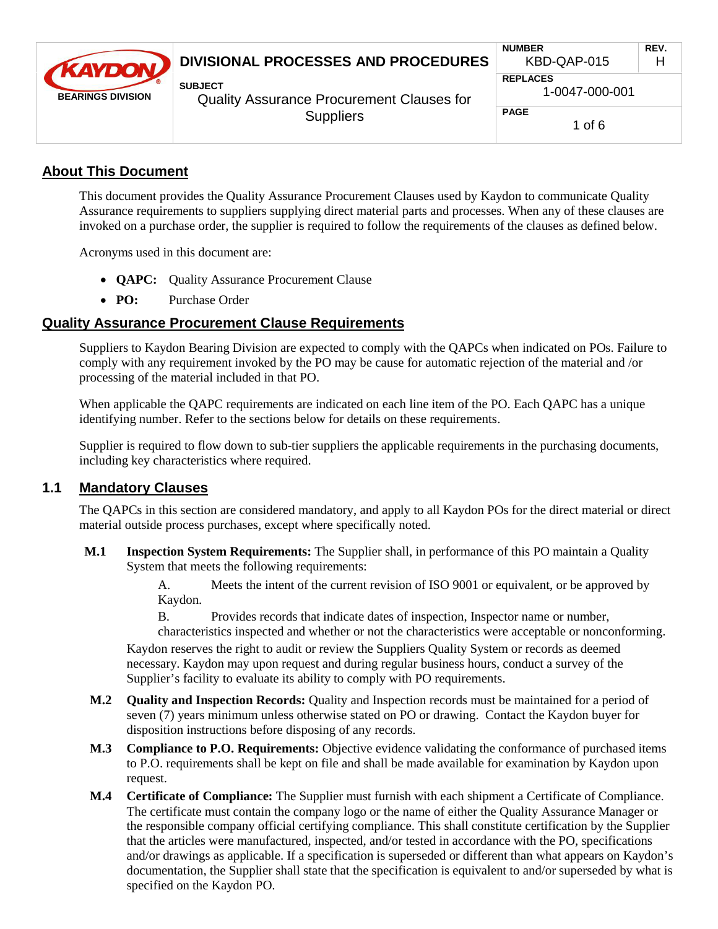| <b><i>CKAYDON</i></b><br><b>BEARINGS DIVISION</b> | DIVISIONAL PROCESSES AND PROCEDURES                                                    | <b>NUMBER</b><br>KBD-QAP-015      | REV.<br>H |
|---------------------------------------------------|----------------------------------------------------------------------------------------|-----------------------------------|-----------|
|                                                   | <b>SUBJECT</b><br><b>Quality Assurance Procurement Clauses for</b><br><b>Suppliers</b> | <b>REPLACES</b><br>1-0047-000-001 |           |
|                                                   |                                                                                        | <b>PAGE</b><br>1 of 6             |           |

#### **About This Document**

This document provides the Quality Assurance Procurement Clauses used by Kaydon to communicate Quality Assurance requirements to suppliers supplying direct material parts and processes. When any of these clauses are invoked on a purchase order, the supplier is required to follow the requirements of the clauses as defined below.

Acronyms used in this document are:

- · **QAPC:** Quality Assurance Procurement Clause
- · **PO:** Purchase Order

#### **Quality Assurance Procurement Clause Requirements**

Suppliers to Kaydon Bearing Division are expected to comply with the QAPCs when indicated on POs. Failure to comply with any requirement invoked by the PO may be cause for automatic rejection of the material and /or processing of the material included in that PO.

When applicable the QAPC requirements are indicated on each line item of the PO. Each QAPC has a unique identifying number. Refer to the sections below for details on these requirements.

Supplier is required to flow down to sub-tier suppliers the applicable requirements in the purchasing documents, including key characteristics where required.

#### **1.1 Mandatory Clauses**

The QAPCs in this section are considered mandatory, and apply to all Kaydon POs for the direct material or direct material outside process purchases, except where specifically noted.

**M.1 Inspection System Requirements:** The Supplier shall, in performance of this PO maintain a Quality System that meets the following requirements:

> A. Meets the intent of the current revision of ISO 9001 or equivalent, or be approved by Kaydon.

B. Provides records that indicate dates of inspection, Inspector name or number, characteristics inspected and whether or not the characteristics were acceptable or nonconforming. Kaydon reserves the right to audit or review the Suppliers Quality System or records as deemed necessary. Kaydon may upon request and during regular business hours, conduct a survey of the Supplier's facility to evaluate its ability to comply with PO requirements.

- **M.2 Quality and Inspection Records:** Quality and Inspection records must be maintained for a period of seven (7) years minimum unless otherwise stated on PO or drawing. Contact the Kaydon buyer for disposition instructions before disposing of any records.
- **M.3 Compliance to P.O. Requirements:** Objective evidence validating the conformance of purchased items to P.O. requirements shall be kept on file and shall be made available for examination by Kaydon upon request.
- **M.4 Certificate of Compliance:** The Supplier must furnish with each shipment a Certificate of Compliance. The certificate must contain the company logo or the name of either the Quality Assurance Manager or the responsible company official certifying compliance. This shall constitute certification by the Supplier that the articles were manufactured, inspected, and/or tested in accordance with the PO, specifications and/or drawings as applicable. If a specification is superseded or different than what appears on Kaydon's documentation, the Supplier shall state that the specification is equivalent to and/or superseded by what is specified on the Kaydon PO.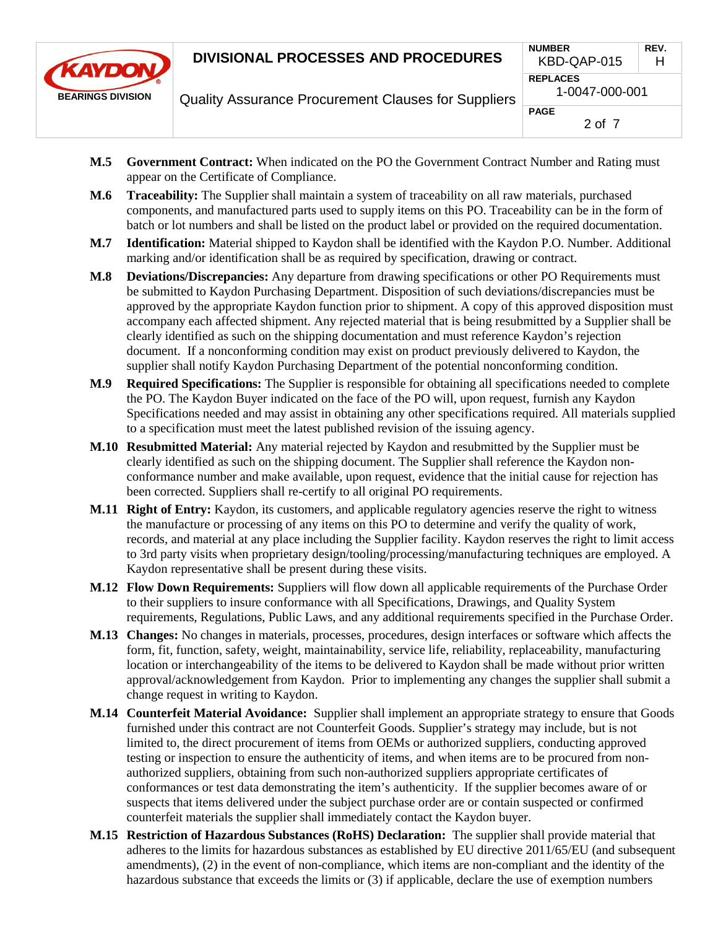

Quality Assurance Procurement Clauses for Suppliers

|   | <b>NUMBER</b><br>KBD-QAP-015      | REV.<br>н |  |
|---|-----------------------------------|-----------|--|
| S | <b>REPLACES</b><br>1-0047-000-001 |           |  |
|   | <b>PAGE</b><br>2 of 7             |           |  |

- **M.5 Government Contract:** When indicated on the PO the Government Contract Number and Rating must appear on the Certificate of Compliance.
- **M.6 Traceability:** The Supplier shall maintain a system of traceability on all raw materials, purchased components, and manufactured parts used to supply items on this PO. Traceability can be in the form of batch or lot numbers and shall be listed on the product label or provided on the required documentation.
- **M.7 Identification:** Material shipped to Kaydon shall be identified with the Kaydon P.O. Number. Additional marking and/or identification shall be as required by specification, drawing or contract.
- **M.8 Deviations/Discrepancies:** Any departure from drawing specifications or other PO Requirements must be submitted to Kaydon Purchasing Department. Disposition of such deviations/discrepancies must be approved by the appropriate Kaydon function prior to shipment. A copy of this approved disposition must accompany each affected shipment. Any rejected material that is being resubmitted by a Supplier shall be clearly identified as such on the shipping documentation and must reference Kaydon's rejection document. If a nonconforming condition may exist on product previously delivered to Kaydon, the supplier shall notify Kaydon Purchasing Department of the potential nonconforming condition.
- **M.9 Required Specifications:** The Supplier is responsible for obtaining all specifications needed to complete the PO. The Kaydon Buyer indicated on the face of the PO will, upon request, furnish any Kaydon Specifications needed and may assist in obtaining any other specifications required. All materials supplied to a specification must meet the latest published revision of the issuing agency.
- **M.10 Resubmitted Material:** Any material rejected by Kaydon and resubmitted by the Supplier must be clearly identified as such on the shipping document. The Supplier shall reference the Kaydon nonconformance number and make available, upon request, evidence that the initial cause for rejection has been corrected. Suppliers shall re-certify to all original PO requirements.
- **M.11 Right of Entry:** Kaydon, its customers, and applicable regulatory agencies reserve the right to witness the manufacture or processing of any items on this PO to determine and verify the quality of work, records, and material at any place including the Supplier facility. Kaydon reserves the right to limit access to 3rd party visits when proprietary design/tooling/processing/manufacturing techniques are employed. A Kaydon representative shall be present during these visits.
- **M.12 Flow Down Requirements:** Suppliers will flow down all applicable requirements of the Purchase Order to their suppliers to insure conformance with all Specifications, Drawings, and Quality System requirements, Regulations, Public Laws, and any additional requirements specified in the Purchase Order.
- **M.13 Changes:** No changes in materials, processes, procedures, design interfaces or software which affects the form, fit, function, safety, weight, maintainability, service life, reliability, replaceability, manufacturing location or interchangeability of the items to be delivered to Kaydon shall be made without prior written approval/acknowledgement from Kaydon. Prior to implementing any changes the supplier shall submit a change request in writing to Kaydon.
- **M.14 Counterfeit Material Avoidance:** Supplier shall implement an appropriate strategy to ensure that Goods furnished under this contract are not Counterfeit Goods. Supplier's strategy may include, but is not limited to, the direct procurement of items from OEMs or authorized suppliers, conducting approved testing or inspection to ensure the authenticity of items, and when items are to be procured from nonauthorized suppliers, obtaining from such non-authorized suppliers appropriate certificates of conformances or test data demonstrating the item's authenticity. If the supplier becomes aware of or suspects that items delivered under the subject purchase order are or contain suspected or confirmed counterfeit materials the supplier shall immediately contact the Kaydon buyer.
- **M.15 Restriction of Hazardous Substances (RoHS) Declaration:** The supplier shall provide material that adheres to the limits for hazardous substances as established by EU directive 2011/65/EU (and subsequent amendments), (2) in the event of non-compliance, which items are non-compliant and the identity of the hazardous substance that exceeds the limits or (3) if applicable, declare the use of exemption numbers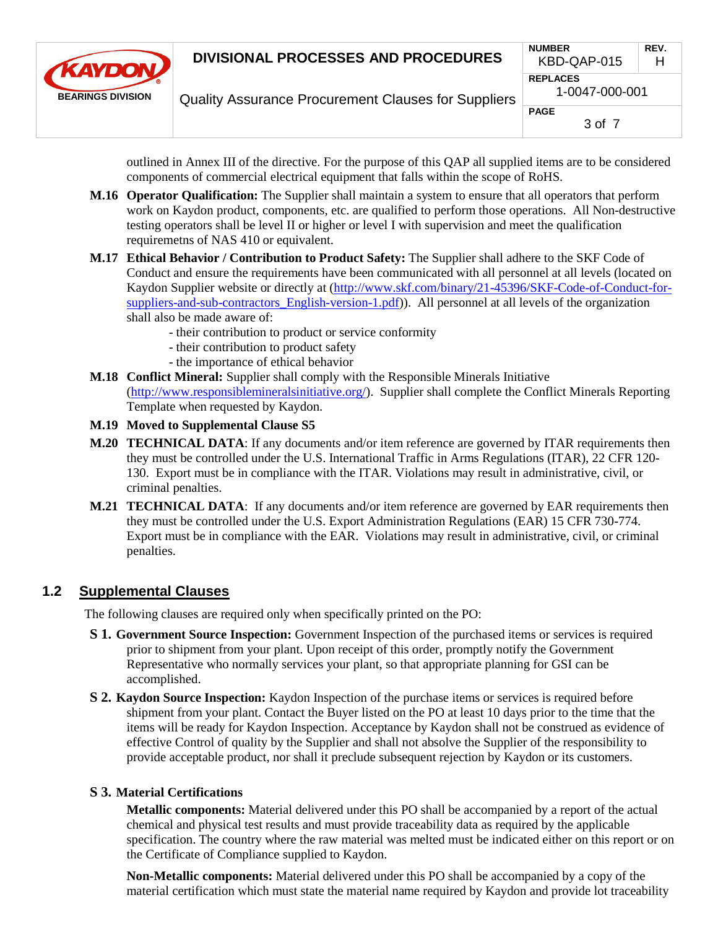

Quality Assurance Procurement Clauses for Suppliers

| <b>NUMBER</b><br>KBD-QAP-015      | REV.<br>н |  |
|-----------------------------------|-----------|--|
| <b>REPLACES</b><br>1-0047-000-001 |           |  |
| PAGE<br>3 of 7                    |           |  |

outlined in Annex III of the directive. For the purpose of this QAP all supplied items are to be considered components of commercial electrical equipment that falls within the scope of RoHS.

- **M.16 Operator Qualification:** The Supplier shall maintain a system to ensure that all operators that perform work on Kaydon product, components, etc. are qualified to perform those operations. All Non-destructive testing operators shall be level II or higher or level I with supervision and meet the qualification requiremetns of NAS 410 or equivalent.
- **M.17 Ethical Behavior / Contribution to Product Safety:** The Supplier shall adhere to the SKF Code of Conduct and ensure the requirements have been communicated with all personnel at all levels (located on Kaydon Supplier website or directly at [\(http://www.skf.com/binary/21-45396/SKF-Code-of-Conduct-for](http://www.skf.com/binary/21-45396/SKF-Code-of-Conduct-for-suppliers-and-sub-contractors_English-version-1.pdf)[suppliers-and-sub-contractors\\_English-version-1.pdf\)](http://www.skf.com/binary/21-45396/SKF-Code-of-Conduct-for-suppliers-and-sub-contractors_English-version-1.pdf)). All personnel at all levels of the organization shall also be made aware of:
	- their contribution to product or service conformity
	- their contribution to product safety
	- the importance of ethical behavior
- **M.18 Conflict Mineral:** Supplier shall comply with the Responsible Minerals Initiative [\(http://www.responsiblemineralsinitiative.org/\)](http://www.responsiblemineralsinitiative.org/). Supplier shall complete the Conflict Minerals Reporting Template when requested by Kaydon.
- **M.19 Moved to Supplemental Clause S5**
- **M.20 TECHNICAL DATA**: If any documents and/or item reference are governed by ITAR requirements then they must be controlled under the U.S. International Traffic in Arms Regulations (ITAR), 22 CFR 120- 130. Export must be in compliance with the ITAR. Violations may result in administrative, civil, or criminal penalties.
- **M.21 TECHNICAL DATA**: If any documents and/or item reference are governed by EAR requirements then they must be controlled under the U.S. Export Administration Regulations (EAR) 15 CFR 730-774. Export must be in compliance with the EAR. Violations may result in administrative, civil, or criminal penalties.

### **1.2 Supplemental Clauses**

The following clauses are required only when specifically printed on the PO:

- **S 1. Government Source Inspection:** Government Inspection of the purchased items or services is required prior to shipment from your plant. Upon receipt of this order, promptly notify the Government Representative who normally services your plant, so that appropriate planning for GSI can be accomplished.
- **S 2. Kaydon Source Inspection:** Kaydon Inspection of the purchase items or services is required before shipment from your plant. Contact the Buyer listed on the PO at least 10 days prior to the time that the items will be ready for Kaydon Inspection. Acceptance by Kaydon shall not be construed as evidence of effective Control of quality by the Supplier and shall not absolve the Supplier of the responsibility to provide acceptable product, nor shall it preclude subsequent rejection by Kaydon or its customers.

#### **S 3. Material Certifications**

**Metallic components:** Material delivered under this PO shall be accompanied by a report of the actual chemical and physical test results and must provide traceability data as required by the applicable specification. The country where the raw material was melted must be indicated either on this report or on the Certificate of Compliance supplied to Kaydon.

**Non-Metallic components:** Material delivered under this PO shall be accompanied by a copy of the material certification which must state the material name required by Kaydon and provide lot traceability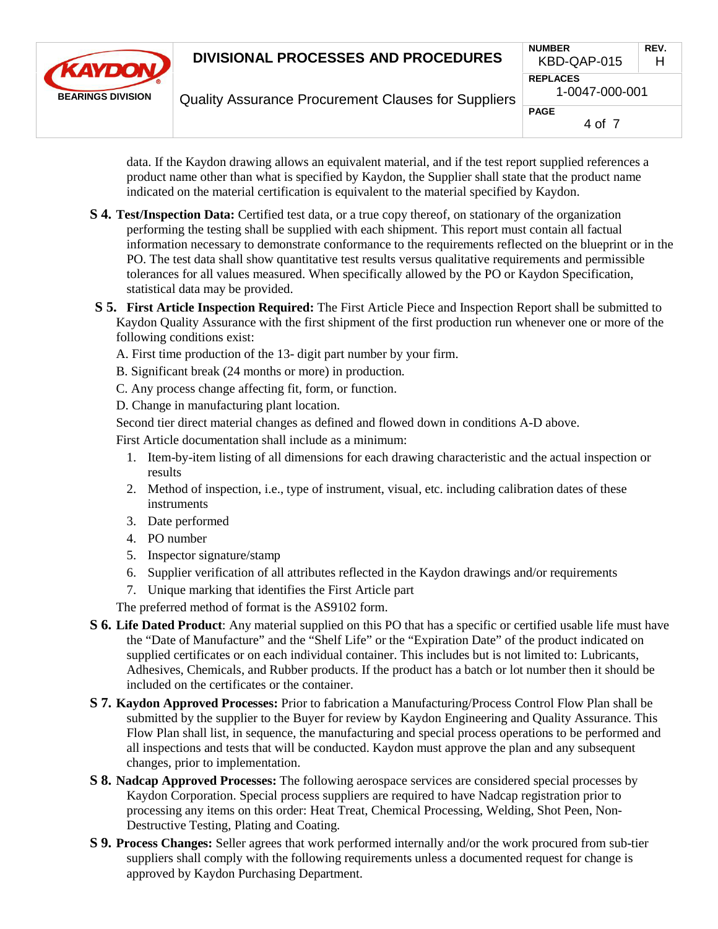

Quality Assurance Procurement Clauses for Suppliers

|    | <b>NUMBER</b><br>KBD-QAP-015      | REV.<br>н |  |
|----|-----------------------------------|-----------|--|
| 'S | <b>REPLACES</b><br>1-0047-000-001 |           |  |
|    | <b>PAGE</b><br>4 of 7             |           |  |

data. If the Kaydon drawing allows an equivalent material, and if the test report supplied references a product name other than what is specified by Kaydon, the Supplier shall state that the product name indicated on the material certification is equivalent to the material specified by Kaydon.

- **S 4. Test/Inspection Data:** Certified test data, or a true copy thereof, on stationary of the organization performing the testing shall be supplied with each shipment. This report must contain all factual information necessary to demonstrate conformance to the requirements reflected on the blueprint or in the PO. The test data shall show quantitative test results versus qualitative requirements and permissible tolerances for all values measured. When specifically allowed by the PO or Kaydon Specification, statistical data may be provided.
- **S 5. First Article Inspection Required:** The First Article Piece and Inspection Report shall be submitted to Kaydon Quality Assurance with the first shipment of the first production run whenever one or more of the following conditions exist:
	- A. First time production of the 13- digit part number by your firm.
	- B. Significant break (24 months or more) in production.
	- C. Any process change affecting fit, form, or function.

D. Change in manufacturing plant location.

Second tier direct material changes as defined and flowed down in conditions A-D above.

First Article documentation shall include as a minimum:

- 1. Item-by-item listing of all dimensions for each drawing characteristic and the actual inspection or results
- 2. Method of inspection, i.e., type of instrument, visual, etc. including calibration dates of these instruments
- 3. Date performed
- 4. PO number
- 5. Inspector signature/stamp
- 6. Supplier verification of all attributes reflected in the Kaydon drawings and/or requirements
- 7. Unique marking that identifies the First Article part

The preferred method of format is the AS9102 form.

- **S 6. Life Dated Product**: Any material supplied on this PO that has a specific or certified usable life must have the "Date of Manufacture" and the "Shelf Life" or the "Expiration Date" of the product indicated on supplied certificates or on each individual container. This includes but is not limited to: Lubricants, Adhesives, Chemicals, and Rubber products. If the product has a batch or lot number then it should be included on the certificates or the container.
- **S 7. Kaydon Approved Processes:** Prior to fabrication a Manufacturing/Process Control Flow Plan shall be submitted by the supplier to the Buyer for review by Kaydon Engineering and Quality Assurance. This Flow Plan shall list, in sequence, the manufacturing and special process operations to be performed and all inspections and tests that will be conducted. Kaydon must approve the plan and any subsequent changes, prior to implementation.
- **S 8. Nadcap Approved Processes:** The following aerospace services are considered special processes by Kaydon Corporation. Special process suppliers are required to have Nadcap registration prior to processing any items on this order: Heat Treat, Chemical Processing, Welding, Shot Peen, Non-Destructive Testing, Plating and Coating.
- **S 9. Process Changes:** Seller agrees that work performed internally and/or the work procured from sub-tier suppliers shall comply with the following requirements unless a documented request for change is approved by Kaydon Purchasing Department.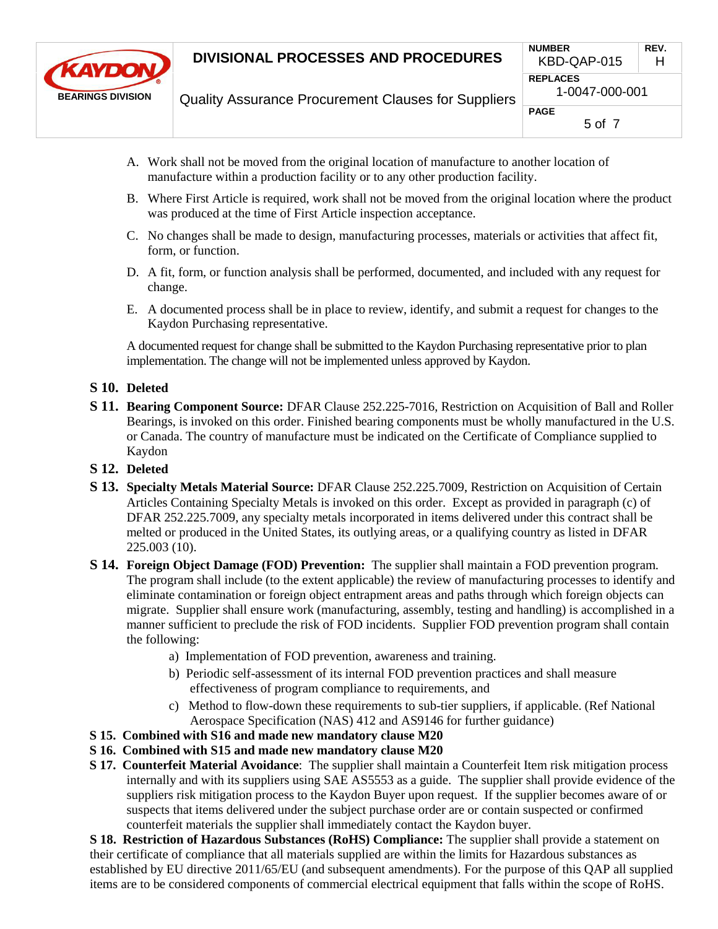

| <b>NUMBER</b>                     | REV. |  |
|-----------------------------------|------|--|
| KBD-QAP-015                       | н    |  |
| <b>REPLACES</b><br>1-0047-000-001 |      |  |
| PAGE<br>5 of 7                    |      |  |

- Quality Assurance Procurement Clauses for Suppliers
- A. Work shall not be moved from the original location of manufacture to another location of manufacture within a production facility or to any other production facility.
- B. Where First Article is required, work shall not be moved from the original location where the product was produced at the time of First Article inspection acceptance.
- C. No changes shall be made to design, manufacturing processes, materials or activities that affect fit, form, or function.
- D. A fit, form, or function analysis shall be performed, documented, and included with any request for change.
- E. A documented process shall be in place to review, identify, and submit a request for changes to the Kaydon Purchasing representative.

A documented request for change shall be submitted to the Kaydon Purchasing representative prior to plan implementation. The change will not be implemented unless approved by Kaydon.

#### **S 10. Deleted**

- **S 11. Bearing Component Source:** DFAR Clause 252.225-7016, Restriction on Acquisition of Ball and Roller Bearings, is invoked on this order. Finished bearing components must be wholly manufactured in the U.S. or Canada. The country of manufacture must be indicated on the Certificate of Compliance supplied to Kaydon
- **S 12. Deleted**
- **S 13. Specialty Metals Material Source:** DFAR Clause 252.225.7009, Restriction on Acquisition of Certain Articles Containing Specialty Metals is invoked on this order. Except as provided in paragraph (c) of DFAR 252.225.7009, any specialty metals incorporated in items delivered under this contract shall be melted or produced in the United States, its outlying areas, or a qualifying country as listed in DFAR 225.003 (10).
- **S 14. Foreign Object Damage (FOD) Prevention:** The supplier shall maintain a FOD prevention program. The program shall include (to the extent applicable) the review of manufacturing processes to identify and eliminate contamination or foreign object entrapment areas and paths through which foreign objects can migrate. Supplier shall ensure work (manufacturing, assembly, testing and handling) is accomplished in a manner sufficient to preclude the risk of FOD incidents. Supplier FOD prevention program shall contain the following:
	- a) Implementation of FOD prevention, awareness and training.
	- b) Periodic self-assessment of its internal FOD prevention practices and shall measure effectiveness of program compliance to requirements, and
	- c) Method to flow-down these requirements to sub-tier suppliers, if applicable. (Ref National Aerospace Specification (NAS) 412 and AS9146 for further guidance)
- **S 15. Combined with S16 and made new mandatory clause M20**
- **S 16. Combined with S15 and made new mandatory clause M20**
- **S 17. Counterfeit Material Avoidance**: The supplier shall maintain a Counterfeit Item risk mitigation process internally and with its suppliers using SAE AS5553 as a guide. The supplier shall provide evidence of the suppliers risk mitigation process to the Kaydon Buyer upon request. If the supplier becomes aware of or suspects that items delivered under the subject purchase order are or contain suspected or confirmed counterfeit materials the supplier shall immediately contact the Kaydon buyer.

**S 18. Restriction of Hazardous Substances (RoHS) Compliance:** The supplier shall provide a statement on their certificate of compliance that all materials supplied are within the limits for Hazardous substances as established by EU directive 2011/65/EU (and subsequent amendments). For the purpose of this QAP all supplied items are to be considered components of commercial electrical equipment that falls within the scope of RoHS.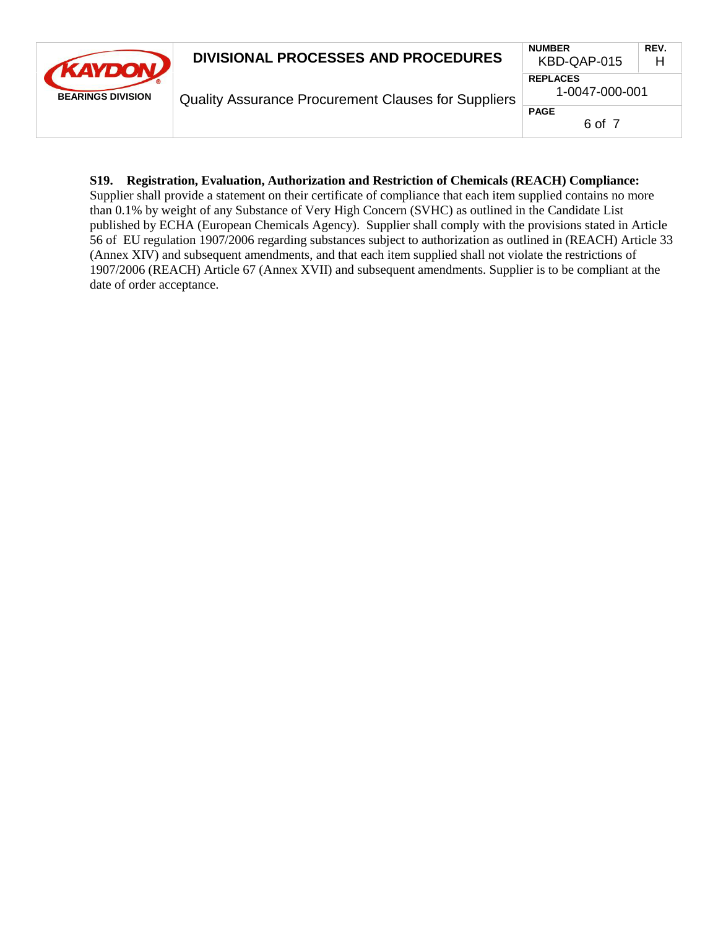| <b>AKAYDON</b><br><b>BEARINGS DIVISION</b> | <b>DIVISIONAL PROCESSES AND PROCEDURES</b>                 | <b>NUMBER</b><br>KBD-QAP-015      | REV.<br>Н |
|--------------------------------------------|------------------------------------------------------------|-----------------------------------|-----------|
|                                            | <b>Quality Assurance Procurement Clauses for Suppliers</b> | <b>REPLACES</b><br>1-0047-000-001 |           |
|                                            |                                                            | <b>PAGE</b><br>6 of 7             |           |

#### **S19. Registration, Evaluation, Authorization and Restriction of Chemicals (REACH) Compliance:**

Supplier shall provide a statement on their certificate of compliance that each item supplied contains no more than 0.1% by weight of any Substance of Very High Concern (SVHC) as outlined in the Candidate List published by ECHA (European Chemicals Agency). Supplier shall comply with the provisions stated in Article 56 of EU regulation 1907/2006 regarding substances subject to authorization as outlined in (REACH) Article 33 (Annex XIV) and subsequent amendments, and that each item supplied shall not violate the restrictions of 1907/2006 (REACH) Article 67 (Annex XVII) and subsequent amendments. Supplier is to be compliant at the date of order acceptance.